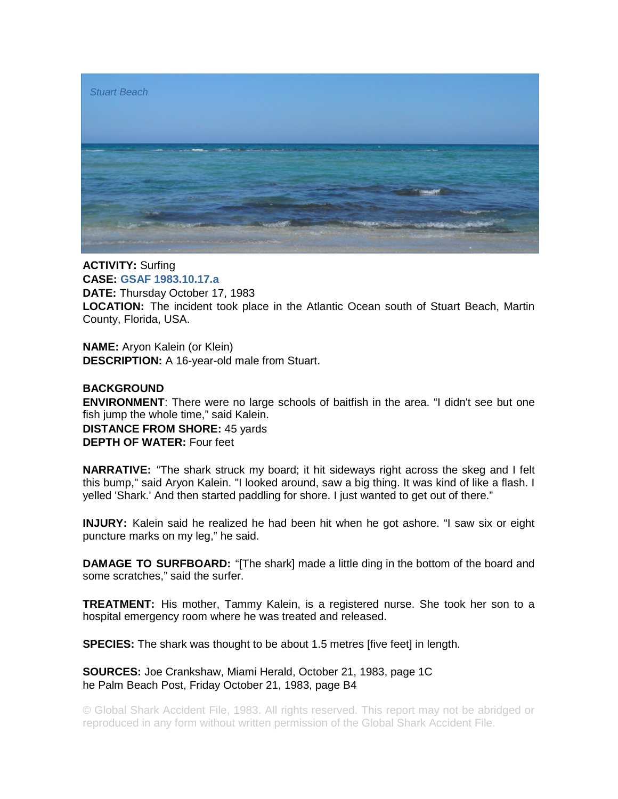

**ACTIVITY:** Surfing **CASE: GSAF 1983.10.17.a DATE:** Thursday October 17, 1983 **LOCATION:** The incident took place in the Atlantic Ocean south of Stuart Beach, Martin County, Florida, USA.

**NAME:** Aryon Kalein (or Klein) **DESCRIPTION:** A 16-year-old male from Stuart.

## **BACKGROUND**

**ENVIRONMENT**: There were no large schools of baitfish in the area. "I didn't see but one fish jump the whole time," said Kalein.

**DISTANCE FROM SHORE:** 45 yards **DEPTH OF WATER:** Four feet

**NARRATIVE:** "The shark struck my board; it hit sideways right across the skeg and I felt this bump," said Aryon Kalein. "I looked around, saw a big thing. It was kind of like a flash. I yelled 'Shark.' And then started paddling for shore. I just wanted to get out of there."

**INJURY:** Kalein said he realized he had been hit when he got ashore. "I saw six or eight puncture marks on my leg," he said.

**DAMAGE TO SURFBOARD:** "[The shark] made a little ding in the bottom of the board and some scratches," said the surfer.

**TREATMENT:** His mother, Tammy Kalein, is a registered nurse. She took her son to a hospital emergency room where he was treated and released.

**SPECIES:** The shark was thought to be about 1.5 metres [five feet] in length.

**SOURCES:** Joe Crankshaw, Miami Herald, October 21, 1983, page 1C he Palm Beach Post, Friday October 21, 1983, page B4

© Global Shark Accident File, 1983. All rights reserved. This report may not be abridged or reproduced in any form without written permission of the Global Shark Accident File.